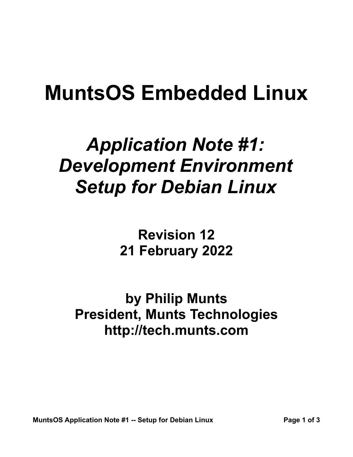# **MuntsOS Embedded Linux**

## *Application Note #1: Development Environment Setup for Debian Linux*

**Revision 12 21 February 2022**

**by Philip Munts President, Munts Technologies http://tech.munts.com**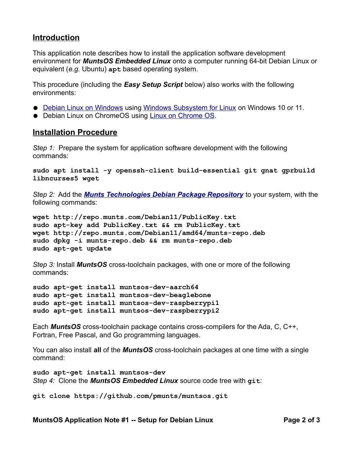#### **Introduction**

This application note describes how to install the application software development environment for *MuntsOS Embedded Linux* onto a computer running 64-bit Debian Linux or equivalent (*e.g.* Ubuntu) **apt** based operating system.

This procedure (including the *Easy Setup Script* below) also works with the following environments:

- ● [Debian Linux on Windows](https://www.microsoft.com/en-us/p/debian-gnu-linux/9msvkqc78pk6) using [Windows Subsystem for Linux](https://docs.microsoft.com/en-us/windows/wsl/about) on Windows 10 or 11.
- Debian Linux on ChromeOS using [Linux on Chrome OS](https://chromium.googlesource.com/chromiumos/docs/+/master/containers_and_vms.md).

#### **Installation Procedure**

*Step 1:* Prepare the system for application software development with the following commands:

**sudo apt install -y openssh-client build-essential git gnat gprbuild libncurses5 wget**

*Step 2:* Add the *[Munts Technologies Debian Package Repository](http://repo.munts.com/debian11)* to your system, with the following commands:

```
wget http://repo.munts.com/Debian11/PublicKey.txt
sudo apt-key add PublicKey.txt && rm PublicKey.txt
wget http://repo.munts.com/Debian11/amd64/munts-repo.deb
sudo dpkg -i munts-repo.deb && rm munts-repo.deb
sudo apt-get update
```
*Step 3:* Install *MuntsOS* cross-toolchain packages, with one or more of the following commands:

```
sudo apt-get install muntsos-dev-aarch64
sudo apt-get install muntsos-dev-beaglebone
sudo apt-get install muntsos-dev-raspberrypi1
sudo apt-get install muntsos-dev-raspberrypi2
```
Each *MuntsOS* cross-toolchain package contains cross-compilers for the Ada, C, C++, Fortran, Free Pascal, and Go programming languages.

You can also install **all** of the *MuntsOS* cross-toolchain packages at one time with a single command:

```
sudo apt-get install muntsos-dev
Step 4: Clone the MuntsOS Embedded Linux source code tree with git:
```
**git clone https://github.com/pmunts/muntsos.git**